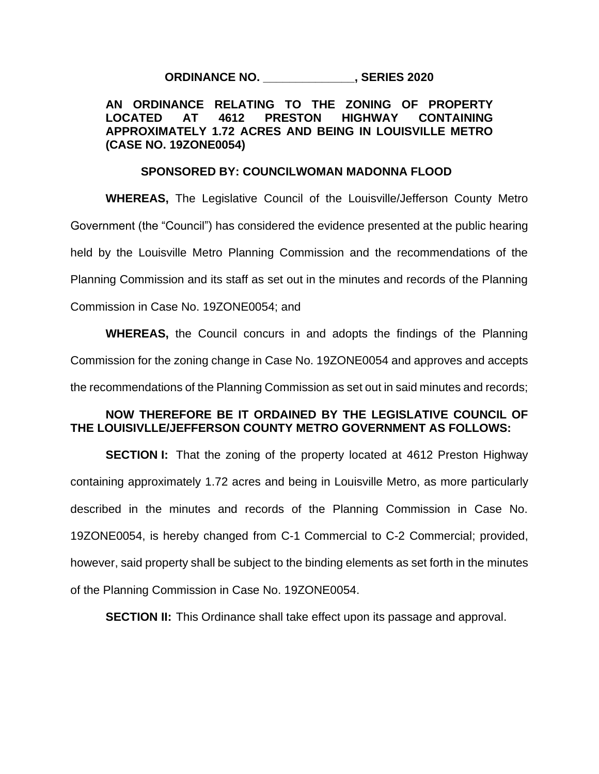**ORDINANCE NO. \_\_\_\_\_\_\_\_\_\_\_\_\_\_, SERIES 2020**

## **AN ORDINANCE RELATING TO THE ZONING OF PROPERTY LOCATED AT 4612 PRESTON HIGHWAY CONTAINING APPROXIMATELY 1.72 ACRES AND BEING IN LOUISVILLE METRO (CASE NO. 19ZONE0054)**

## **SPONSORED BY: COUNCILWOMAN MADONNA FLOOD**

**WHEREAS,** The Legislative Council of the Louisville/Jefferson County Metro Government (the "Council") has considered the evidence presented at the public hearing held by the Louisville Metro Planning Commission and the recommendations of the Planning Commission and its staff as set out in the minutes and records of the Planning Commission in Case No. 19ZONE0054; and

**WHEREAS,** the Council concurs in and adopts the findings of the Planning Commission for the zoning change in Case No. 19ZONE0054 and approves and accepts the recommendations of the Planning Commission as set out in said minutes and records;

## **NOW THEREFORE BE IT ORDAINED BY THE LEGISLATIVE COUNCIL OF THE LOUISIVLLE/JEFFERSON COUNTY METRO GOVERNMENT AS FOLLOWS:**

**SECTION I:** That the zoning of the property located at 4612 Preston Highway containing approximately 1.72 acres and being in Louisville Metro, as more particularly described in the minutes and records of the Planning Commission in Case No. 19ZONE0054, is hereby changed from C-1 Commercial to C-2 Commercial; provided, however, said property shall be subject to the binding elements as set forth in the minutes of the Planning Commission in Case No. 19ZONE0054.

**SECTION II:** This Ordinance shall take effect upon its passage and approval.